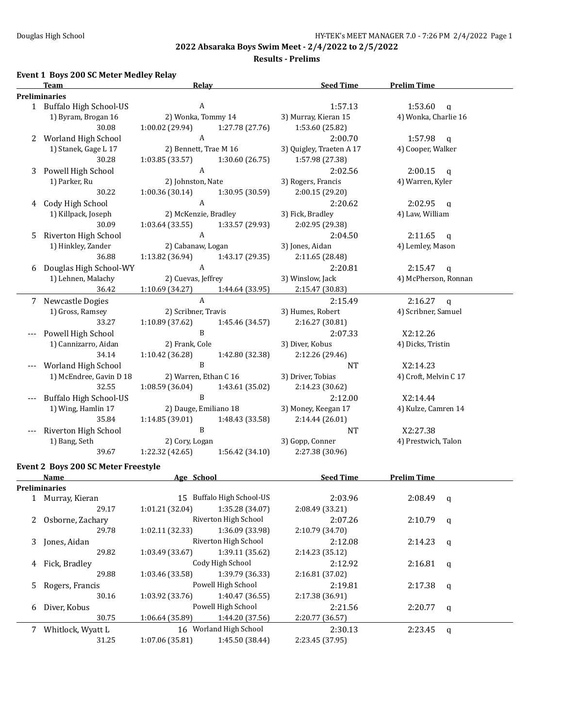**Results - Prelims**

## **Event 1 Boys 200 SC Meter Medley Relay**

|   | <b>Team</b>                                | <b>Relay</b>                       | <b>Seed Time</b>         | <b>Prelim Time</b>      |
|---|--------------------------------------------|------------------------------------|--------------------------|-------------------------|
|   | <b>Preliminaries</b>                       |                                    |                          |                         |
|   | 1 Buffalo High School-US                   | A                                  | 1:57.13                  | 1:53.60<br>q            |
|   | 1) Byram, Brogan 16                        | 2) Wonka, Tommy 14                 | 3) Murray, Kieran 15     | 4) Wonka, Charlie 16    |
|   | 30.08                                      | 1:00.02 (29.94)<br>1:27.78 (27.76) | 1:53.60 (25.82)          |                         |
| 2 | Worland High School                        | $\mathbf{A}$                       | 2:00.70                  | 1:57.98<br>$\mathbf{q}$ |
|   | 1) Stanek, Gage L 17                       | 2) Bennett, Trae M 16              | 3) Quigley, Traeten A 17 | 4) Cooper, Walker       |
|   | 30.28                                      | 1:03.85 (33.57)<br>1:30.60 (26.75) | 1:57.98 (27.38)          |                         |
| 3 | Powell High School                         | $\mathbf{A}$                       | 2:02.56                  | 2:00.15<br>q            |
|   | 1) Parker, Ru                              | 2) Johnston, Nate                  | 3) Rogers, Francis       | 4) Warren, Kyler        |
|   | 30.22                                      | 1:00.36(30.14)<br>1:30.95 (30.59)  | 2:00.15 (29.20)          |                         |
|   | 4 Cody High School                         | $\mathbf{A}$                       | 2:20.62                  | 2:02.95<br>$\mathbf q$  |
|   | 1) Killpack, Joseph                        | 2) McKenzie, Bradley               | 3) Fick, Bradley         | 4) Law, William         |
|   | 30.09                                      |                                    |                          |                         |
|   |                                            | 1:03.64(33.55)<br>1:33.57 (29.93)  | 2:02.95 (29.38)          |                         |
| 5 | Riverton High School                       | $\boldsymbol{A}$                   | 2:04.50                  | 2:11.65<br>$\mathbf{q}$ |
|   | 1) Hinkley, Zander                         | 2) Cabanaw, Logan                  | 3) Jones, Aidan          | 4) Lemley, Mason        |
|   | 36.88                                      | 1:13.82 (36.94)<br>1:43.17 (29.35) | 2:11.65 (28.48)          |                         |
|   | 6 Douglas High School-WY                   | $\boldsymbol{A}$                   | 2:20.81                  | 2:15.47<br>q            |
|   | 1) Lehnen, Malachy                         | 2) Cuevas, Jeffrey                 | 3) Winslow, Jack         | 4) McPherson, Ronnan    |
|   | 36.42                                      | 1:10.69(34.27)<br>1:44.64 (33.95)  | 2:15.47 (30.83)          |                         |
|   | 7 Newcastle Dogies                         | $\boldsymbol{\mathsf{A}}$          | 2:15.49                  | $2:16.27$ q             |
|   | 1) Gross, Ramsey                           | 2) Scribner, Travis                | 3) Humes, Robert         | 4) Scribner, Samuel     |
|   | 33.27                                      | 1:10.89 (37.62)<br>1:45.46 (34.57) | 2:16.27 (30.81)          |                         |
|   | Powell High School                         | $\mathbf{B}$                       | 2:07.33                  | X2:12.26                |
|   | 1) Cannizarro, Aidan                       | 2) Frank, Cole                     | 3) Diver, Kobus          | 4) Dicks, Tristin       |
|   | 34.14                                      | 1:10.42 (36.28)<br>1:42.80 (32.38) | 2:12.26 (29.46)          |                         |
|   | Worland High School                        | $\mathbf B$                        | <b>NT</b>                | X2:14.23                |
|   | 1) McEndree, Gavin D 18                    | 2) Warren, Ethan C 16              | 3) Driver, Tobias        | 4) Croft, Melvin C 17   |
|   | 32.55                                      | 1:08.59 (36.04)<br>1:43.61 (35.02) | 2:14.23 (30.62)          |                         |
|   | <b>Buffalo High School-US</b>              | $\mathbf B$                        | 2:12.00                  | X2:14.44                |
|   | 1) Wing, Hamlin 17                         | 2) Dauge, Emiliano 18              | 3) Money, Keegan 17      | 4) Kulze, Camren 14     |
|   | 35.84                                      | 1:14.85 (39.01)<br>1:48.43 (33.58) | 2:14.44 (26.01)          |                         |
|   | Riverton High School                       | B                                  | <b>NT</b>                | X2:27.38                |
|   | 1) Bang, Seth                              | 2) Cory, Logan                     | 3) Gopp, Conner          | 4) Prestwich, Talon     |
|   | 39.67                                      | 1:22.32 (42.65)<br>1:56.42(34.10)  | 2:27.38 (30.96)          |                         |
|   | <b>Event 2 Boys 200 SC Meter Freestyle</b> |                                    |                          |                         |
|   | <b>Name</b>                                | Age School                         | <b>Seed Time</b>         | <b>Prelim Time</b>      |
|   | Preliminaries                              |                                    |                          |                         |
|   | 1 Murray, Kieran                           | 15 Buffalo High School-US          | 2:03.96                  | 2:08.49<br>$\mathbf{q}$ |
|   | 29.17                                      | 1:35.28 (34.07)<br>1:01.21 (32.04) | 2:08.49 (33.21)          |                         |
| 2 | Osborne, Zachary                           | Riverton High School               | 2:07.26                  | 2:10.79<br>q            |
|   | 29.78                                      | 1:36.09 (33.98)<br>1:02.11 (32.33) | 2:10.79 (34.70)          |                         |
|   |                                            | Riverton High School               |                          |                         |
| 3 | Jones, Aidan<br>29.82                      | 1:39.11 (35.62)<br>1:03.49 (33.67) | 2:12.08                  | 2:14.23<br>q            |
|   |                                            |                                    | 2:14.23 (35.12)          |                         |
| 4 | Fick, Bradley                              | Cody High School                   | 2:12.92                  | 2:16.81<br>q            |
|   | 29.88                                      | 1:39.79 (36.33)<br>1:03.46 (33.58) | 2:16.81 (37.02)          |                         |
| 5 | Rogers, Francis                            | Powell High School                 | 2:19.81                  | 2:17.38<br>q            |
|   | 30.16                                      | 1:40.47 (36.55)<br>1:03.92 (33.76) | 2:17.38 (36.91)          |                         |
| 6 | Diver, Kobus                               | Powell High School                 | 2:21.56                  | 2:20.77<br>q            |
|   | 30.75                                      | 1:06.64 (35.89)<br>1:44.20 (37.56) | 2:20.77 (36.57)          |                         |
|   | 7 Whitlock, Wyatt L                        | 16 Worland High School             | 2:30.13                  | 2:23.45<br>q            |
|   | 31.25                                      | 1:07.06 (35.81)<br>1:45.50 (38.44) | 2:23.45 (37.95)          |                         |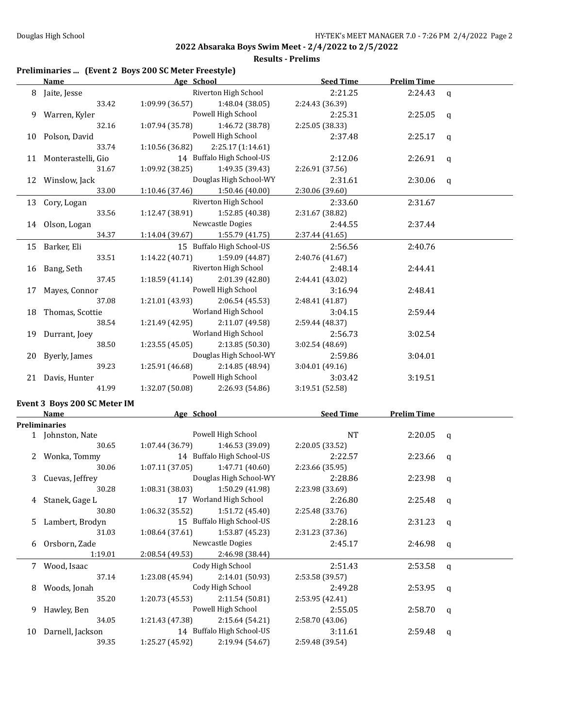|  |  | Preliminaries  (Event 2 Boys 200 SC Meter Freestyle) |  |
|--|--|------------------------------------------------------|--|
|--|--|------------------------------------------------------|--|

| Riverton High School<br>2:21.25<br>2:24.43<br>8 Jaite, Jesse<br>$\mathbf{q}$<br>33.42<br>1:09.99 (36.57)<br>1:48.04 (38.05)<br>2:24.43 (36.39)<br>Powell High School<br>9 Warren, Kyler<br>2:25.31<br>2:25.05<br>$\mathbf q$<br>32.16<br>1:07.94 (35.78)<br>1:46.72 (38.78)<br>2:25.05 (38.33)<br>Powell High School<br>10 Polson, David<br>2:37.48<br>2:25.17<br>q<br>33.74<br>1:10.56 (36.82)<br>2:25.17 (1:14.61)<br>14 Buffalo High School-US<br>11 Monterastelli, Gio<br>2:12.06<br>2:26.91<br>q<br>1:09.92(38.25)<br>31.67<br>1:49.35 (39.43)<br>2:26.91 (37.56)<br>12 Winslow, Jack<br>Douglas High School-WY<br>2:31.61<br>2:30.06<br>q<br>33.00<br>1:10.46 (37.46) 1:50.46 (40.00)<br>2:30.06 (39.60)<br>Riverton High School<br>13 Cory, Logan<br>2:33.60<br>2:31.67<br>33.56<br>1:12.47 (38.91)<br>1:52.85 (40.38)<br>2:31.67 (38.82)<br>Newcastle Dogies<br>14 Olson, Logan<br>2:44.55<br>2:37.44<br>34.37<br>$1:14.04(39.67)$ $1:55.79(41.75)$<br>2:37.44 (41.65)<br>15 Buffalo High School-US<br>15 Barker, Eli<br>2:56.56<br>2:40.76<br>33.51<br>1:14.22(40.71)<br>1:59.09 (44.87)<br>2:40.76 (41.67)<br>Riverton High School<br>16 Bang, Seth<br>2:48.14<br>2:44.41<br>2:01.39 (42.80)<br>37.45<br>1:18.59(41.14)<br>2:44.41 (43.02)<br>17 Mayes, Connor<br>Powell High School<br>3:16.94<br>2:48.41<br>37.08<br>1:21.01 (43.93)<br>2:06.54(45.53)<br>2:48.41 (41.87)<br>Worland High School<br>18 Thomas, Scottie<br>3:04.15<br>2:59.44<br>2:11.07 (49.58)<br>38.54<br>1:21.49 (42.95)<br>2:59.44 (48.37)<br>Worland High School<br>19 Durrant, Joey<br>2:56.73<br>3:02.54<br>38.50<br>2:13.85(50.30)<br>1:23.55(45.05)<br>3:02.54 (48.69)<br>Douglas High School-WY<br>20 Byerly, James<br>2:59.86<br>3:04.01<br>1:25.91 (46.68)<br>2:14.85 (48.94)<br>39.23<br>3:04.01 (49.16)<br>Powell High School<br>21 Davis, Hunter<br>3:03.42<br>3:19.51<br>1:32.07 (50.08)<br>2:26.93 (54.86)<br>41.99<br>3:19.51 (52.58)<br>Event 3 Boys 200 SC Meter IM<br><b>Example 2</b> Age School<br><u>Seed Time</u><br><b>Prelim Time</b><br>Name<br>Preliminaries<br>Powell High School<br>NT<br>1 Johnston, Nate<br>2:20.05<br>$\mathbf q$<br>1:46.53 (39.09)<br>30.65<br>1:07.44(36.79)<br>2:20.05 (33.52)<br>14 Buffalo High School-US<br>2 Wonka, Tommy<br>2:22.57<br>2:23.66<br>q<br>1:07.11(37.05)<br>30.06<br>1:47.71 (40.60)<br>2:23.66 (35.95)<br>Douglas High School-WY<br>2:28.86<br>3 Cuevas, Jeffrey<br>2:23.98<br>q<br>2:23.98 (33.69)<br>30.28<br>$1:08.31(38.03)$ $1:50.29(41.98)$<br>17 Worland High School<br>2:26.80<br>$2:25.48$ q<br>4 Stanek, Gage L<br>1:51.72 (45.40)<br>2:25.48 (33.76)<br>30.80<br>1:06.32 (35.52)<br>15 Buffalo High School-US<br>Lambert, Brodyn<br>2:28.16<br>2:31.23<br>5<br>q<br>31.03<br>1:53.87 (45.23)<br>1:08.64 (37.61)<br>2:31.23 (37.36)<br>Newcastle Dogies<br>Orsborn, Zade<br>2:45.17<br>2:46.98<br>6<br>q<br>1:19.01<br>2:46.98 (38.44)<br>2:08.54 (49.53)<br>Cody High School<br>7 Wood, Isaac<br>2:51.43<br>2:53.58<br>q<br>37.14<br>2:14.01 (50.93)<br>2:53.58 (39.57)<br>1:23.08 (45.94)<br>Cody High School<br>Woods, Jonah<br>2:49.28<br>2:53.95<br>8<br>q<br>2:11.54(50.81)<br>35.20<br>1:20.73 (45.53)<br>2:53.95 (42.41)<br>Powell High School<br>2:55.05<br>2:58.70<br>Hawley, Ben<br>9<br>q<br>2:15.64 (54.21)<br>34.05<br>1:21.43 (47.38)<br>2:58.70 (43.06)<br>14 Buffalo High School-US<br>Darnell, Jackson<br>3:11.61<br>2:59.48<br>10<br>q | <b>Name</b> | Age School                         | <b>Seed Time</b> | <b>Prelim Time</b> |  |
|--------------------------------------------------------------------------------------------------------------------------------------------------------------------------------------------------------------------------------------------------------------------------------------------------------------------------------------------------------------------------------------------------------------------------------------------------------------------------------------------------------------------------------------------------------------------------------------------------------------------------------------------------------------------------------------------------------------------------------------------------------------------------------------------------------------------------------------------------------------------------------------------------------------------------------------------------------------------------------------------------------------------------------------------------------------------------------------------------------------------------------------------------------------------------------------------------------------------------------------------------------------------------------------------------------------------------------------------------------------------------------------------------------------------------------------------------------------------------------------------------------------------------------------------------------------------------------------------------------------------------------------------------------------------------------------------------------------------------------------------------------------------------------------------------------------------------------------------------------------------------------------------------------------------------------------------------------------------------------------------------------------------------------------------------------------------------------------------------------------------------------------------------------------------------------------------------------------------------------------------------------------------------------------------------------------------------------------------------------------------------------------------------------------------------------------------------------------------------------------------------------------------------------------------------------------------------------------------------------------------------------------------------------------------------------------------------------------------------------------------------------------------------------------------------------------------------------------------------------------------------------------------------------------------------------------------------------------------------------------------------------------------------------------------------------------------------------------------------------------------------------------------------------------------------------------------------------------------------------------------------------------------------------------------------------------------------------------------------------------------------------------------------------------------------|-------------|------------------------------------|------------------|--------------------|--|
|                                                                                                                                                                                                                                                                                                                                                                                                                                                                                                                                                                                                                                                                                                                                                                                                                                                                                                                                                                                                                                                                                                                                                                                                                                                                                                                                                                                                                                                                                                                                                                                                                                                                                                                                                                                                                                                                                                                                                                                                                                                                                                                                                                                                                                                                                                                                                                                                                                                                                                                                                                                                                                                                                                                                                                                                                                                                                                                                                                                                                                                                                                                                                                                                                                                                                                                                                                                                                          |             |                                    |                  |                    |  |
|                                                                                                                                                                                                                                                                                                                                                                                                                                                                                                                                                                                                                                                                                                                                                                                                                                                                                                                                                                                                                                                                                                                                                                                                                                                                                                                                                                                                                                                                                                                                                                                                                                                                                                                                                                                                                                                                                                                                                                                                                                                                                                                                                                                                                                                                                                                                                                                                                                                                                                                                                                                                                                                                                                                                                                                                                                                                                                                                                                                                                                                                                                                                                                                                                                                                                                                                                                                                                          |             |                                    |                  |                    |  |
|                                                                                                                                                                                                                                                                                                                                                                                                                                                                                                                                                                                                                                                                                                                                                                                                                                                                                                                                                                                                                                                                                                                                                                                                                                                                                                                                                                                                                                                                                                                                                                                                                                                                                                                                                                                                                                                                                                                                                                                                                                                                                                                                                                                                                                                                                                                                                                                                                                                                                                                                                                                                                                                                                                                                                                                                                                                                                                                                                                                                                                                                                                                                                                                                                                                                                                                                                                                                                          |             |                                    |                  |                    |  |
|                                                                                                                                                                                                                                                                                                                                                                                                                                                                                                                                                                                                                                                                                                                                                                                                                                                                                                                                                                                                                                                                                                                                                                                                                                                                                                                                                                                                                                                                                                                                                                                                                                                                                                                                                                                                                                                                                                                                                                                                                                                                                                                                                                                                                                                                                                                                                                                                                                                                                                                                                                                                                                                                                                                                                                                                                                                                                                                                                                                                                                                                                                                                                                                                                                                                                                                                                                                                                          |             |                                    |                  |                    |  |
|                                                                                                                                                                                                                                                                                                                                                                                                                                                                                                                                                                                                                                                                                                                                                                                                                                                                                                                                                                                                                                                                                                                                                                                                                                                                                                                                                                                                                                                                                                                                                                                                                                                                                                                                                                                                                                                                                                                                                                                                                                                                                                                                                                                                                                                                                                                                                                                                                                                                                                                                                                                                                                                                                                                                                                                                                                                                                                                                                                                                                                                                                                                                                                                                                                                                                                                                                                                                                          |             |                                    |                  |                    |  |
|                                                                                                                                                                                                                                                                                                                                                                                                                                                                                                                                                                                                                                                                                                                                                                                                                                                                                                                                                                                                                                                                                                                                                                                                                                                                                                                                                                                                                                                                                                                                                                                                                                                                                                                                                                                                                                                                                                                                                                                                                                                                                                                                                                                                                                                                                                                                                                                                                                                                                                                                                                                                                                                                                                                                                                                                                                                                                                                                                                                                                                                                                                                                                                                                                                                                                                                                                                                                                          |             |                                    |                  |                    |  |
|                                                                                                                                                                                                                                                                                                                                                                                                                                                                                                                                                                                                                                                                                                                                                                                                                                                                                                                                                                                                                                                                                                                                                                                                                                                                                                                                                                                                                                                                                                                                                                                                                                                                                                                                                                                                                                                                                                                                                                                                                                                                                                                                                                                                                                                                                                                                                                                                                                                                                                                                                                                                                                                                                                                                                                                                                                                                                                                                                                                                                                                                                                                                                                                                                                                                                                                                                                                                                          |             |                                    |                  |                    |  |
|                                                                                                                                                                                                                                                                                                                                                                                                                                                                                                                                                                                                                                                                                                                                                                                                                                                                                                                                                                                                                                                                                                                                                                                                                                                                                                                                                                                                                                                                                                                                                                                                                                                                                                                                                                                                                                                                                                                                                                                                                                                                                                                                                                                                                                                                                                                                                                                                                                                                                                                                                                                                                                                                                                                                                                                                                                                                                                                                                                                                                                                                                                                                                                                                                                                                                                                                                                                                                          |             |                                    |                  |                    |  |
|                                                                                                                                                                                                                                                                                                                                                                                                                                                                                                                                                                                                                                                                                                                                                                                                                                                                                                                                                                                                                                                                                                                                                                                                                                                                                                                                                                                                                                                                                                                                                                                                                                                                                                                                                                                                                                                                                                                                                                                                                                                                                                                                                                                                                                                                                                                                                                                                                                                                                                                                                                                                                                                                                                                                                                                                                                                                                                                                                                                                                                                                                                                                                                                                                                                                                                                                                                                                                          |             |                                    |                  |                    |  |
|                                                                                                                                                                                                                                                                                                                                                                                                                                                                                                                                                                                                                                                                                                                                                                                                                                                                                                                                                                                                                                                                                                                                                                                                                                                                                                                                                                                                                                                                                                                                                                                                                                                                                                                                                                                                                                                                                                                                                                                                                                                                                                                                                                                                                                                                                                                                                                                                                                                                                                                                                                                                                                                                                                                                                                                                                                                                                                                                                                                                                                                                                                                                                                                                                                                                                                                                                                                                                          |             |                                    |                  |                    |  |
|                                                                                                                                                                                                                                                                                                                                                                                                                                                                                                                                                                                                                                                                                                                                                                                                                                                                                                                                                                                                                                                                                                                                                                                                                                                                                                                                                                                                                                                                                                                                                                                                                                                                                                                                                                                                                                                                                                                                                                                                                                                                                                                                                                                                                                                                                                                                                                                                                                                                                                                                                                                                                                                                                                                                                                                                                                                                                                                                                                                                                                                                                                                                                                                                                                                                                                                                                                                                                          |             |                                    |                  |                    |  |
|                                                                                                                                                                                                                                                                                                                                                                                                                                                                                                                                                                                                                                                                                                                                                                                                                                                                                                                                                                                                                                                                                                                                                                                                                                                                                                                                                                                                                                                                                                                                                                                                                                                                                                                                                                                                                                                                                                                                                                                                                                                                                                                                                                                                                                                                                                                                                                                                                                                                                                                                                                                                                                                                                                                                                                                                                                                                                                                                                                                                                                                                                                                                                                                                                                                                                                                                                                                                                          |             |                                    |                  |                    |  |
|                                                                                                                                                                                                                                                                                                                                                                                                                                                                                                                                                                                                                                                                                                                                                                                                                                                                                                                                                                                                                                                                                                                                                                                                                                                                                                                                                                                                                                                                                                                                                                                                                                                                                                                                                                                                                                                                                                                                                                                                                                                                                                                                                                                                                                                                                                                                                                                                                                                                                                                                                                                                                                                                                                                                                                                                                                                                                                                                                                                                                                                                                                                                                                                                                                                                                                                                                                                                                          |             |                                    |                  |                    |  |
|                                                                                                                                                                                                                                                                                                                                                                                                                                                                                                                                                                                                                                                                                                                                                                                                                                                                                                                                                                                                                                                                                                                                                                                                                                                                                                                                                                                                                                                                                                                                                                                                                                                                                                                                                                                                                                                                                                                                                                                                                                                                                                                                                                                                                                                                                                                                                                                                                                                                                                                                                                                                                                                                                                                                                                                                                                                                                                                                                                                                                                                                                                                                                                                                                                                                                                                                                                                                                          |             |                                    |                  |                    |  |
|                                                                                                                                                                                                                                                                                                                                                                                                                                                                                                                                                                                                                                                                                                                                                                                                                                                                                                                                                                                                                                                                                                                                                                                                                                                                                                                                                                                                                                                                                                                                                                                                                                                                                                                                                                                                                                                                                                                                                                                                                                                                                                                                                                                                                                                                                                                                                                                                                                                                                                                                                                                                                                                                                                                                                                                                                                                                                                                                                                                                                                                                                                                                                                                                                                                                                                                                                                                                                          |             |                                    |                  |                    |  |
|                                                                                                                                                                                                                                                                                                                                                                                                                                                                                                                                                                                                                                                                                                                                                                                                                                                                                                                                                                                                                                                                                                                                                                                                                                                                                                                                                                                                                                                                                                                                                                                                                                                                                                                                                                                                                                                                                                                                                                                                                                                                                                                                                                                                                                                                                                                                                                                                                                                                                                                                                                                                                                                                                                                                                                                                                                                                                                                                                                                                                                                                                                                                                                                                                                                                                                                                                                                                                          |             |                                    |                  |                    |  |
|                                                                                                                                                                                                                                                                                                                                                                                                                                                                                                                                                                                                                                                                                                                                                                                                                                                                                                                                                                                                                                                                                                                                                                                                                                                                                                                                                                                                                                                                                                                                                                                                                                                                                                                                                                                                                                                                                                                                                                                                                                                                                                                                                                                                                                                                                                                                                                                                                                                                                                                                                                                                                                                                                                                                                                                                                                                                                                                                                                                                                                                                                                                                                                                                                                                                                                                                                                                                                          |             |                                    |                  |                    |  |
|                                                                                                                                                                                                                                                                                                                                                                                                                                                                                                                                                                                                                                                                                                                                                                                                                                                                                                                                                                                                                                                                                                                                                                                                                                                                                                                                                                                                                                                                                                                                                                                                                                                                                                                                                                                                                                                                                                                                                                                                                                                                                                                                                                                                                                                                                                                                                                                                                                                                                                                                                                                                                                                                                                                                                                                                                                                                                                                                                                                                                                                                                                                                                                                                                                                                                                                                                                                                                          |             |                                    |                  |                    |  |
|                                                                                                                                                                                                                                                                                                                                                                                                                                                                                                                                                                                                                                                                                                                                                                                                                                                                                                                                                                                                                                                                                                                                                                                                                                                                                                                                                                                                                                                                                                                                                                                                                                                                                                                                                                                                                                                                                                                                                                                                                                                                                                                                                                                                                                                                                                                                                                                                                                                                                                                                                                                                                                                                                                                                                                                                                                                                                                                                                                                                                                                                                                                                                                                                                                                                                                                                                                                                                          |             |                                    |                  |                    |  |
|                                                                                                                                                                                                                                                                                                                                                                                                                                                                                                                                                                                                                                                                                                                                                                                                                                                                                                                                                                                                                                                                                                                                                                                                                                                                                                                                                                                                                                                                                                                                                                                                                                                                                                                                                                                                                                                                                                                                                                                                                                                                                                                                                                                                                                                                                                                                                                                                                                                                                                                                                                                                                                                                                                                                                                                                                                                                                                                                                                                                                                                                                                                                                                                                                                                                                                                                                                                                                          |             |                                    |                  |                    |  |
|                                                                                                                                                                                                                                                                                                                                                                                                                                                                                                                                                                                                                                                                                                                                                                                                                                                                                                                                                                                                                                                                                                                                                                                                                                                                                                                                                                                                                                                                                                                                                                                                                                                                                                                                                                                                                                                                                                                                                                                                                                                                                                                                                                                                                                                                                                                                                                                                                                                                                                                                                                                                                                                                                                                                                                                                                                                                                                                                                                                                                                                                                                                                                                                                                                                                                                                                                                                                                          |             |                                    |                  |                    |  |
|                                                                                                                                                                                                                                                                                                                                                                                                                                                                                                                                                                                                                                                                                                                                                                                                                                                                                                                                                                                                                                                                                                                                                                                                                                                                                                                                                                                                                                                                                                                                                                                                                                                                                                                                                                                                                                                                                                                                                                                                                                                                                                                                                                                                                                                                                                                                                                                                                                                                                                                                                                                                                                                                                                                                                                                                                                                                                                                                                                                                                                                                                                                                                                                                                                                                                                                                                                                                                          |             |                                    |                  |                    |  |
|                                                                                                                                                                                                                                                                                                                                                                                                                                                                                                                                                                                                                                                                                                                                                                                                                                                                                                                                                                                                                                                                                                                                                                                                                                                                                                                                                                                                                                                                                                                                                                                                                                                                                                                                                                                                                                                                                                                                                                                                                                                                                                                                                                                                                                                                                                                                                                                                                                                                                                                                                                                                                                                                                                                                                                                                                                                                                                                                                                                                                                                                                                                                                                                                                                                                                                                                                                                                                          |             |                                    |                  |                    |  |
|                                                                                                                                                                                                                                                                                                                                                                                                                                                                                                                                                                                                                                                                                                                                                                                                                                                                                                                                                                                                                                                                                                                                                                                                                                                                                                                                                                                                                                                                                                                                                                                                                                                                                                                                                                                                                                                                                                                                                                                                                                                                                                                                                                                                                                                                                                                                                                                                                                                                                                                                                                                                                                                                                                                                                                                                                                                                                                                                                                                                                                                                                                                                                                                                                                                                                                                                                                                                                          |             |                                    |                  |                    |  |
|                                                                                                                                                                                                                                                                                                                                                                                                                                                                                                                                                                                                                                                                                                                                                                                                                                                                                                                                                                                                                                                                                                                                                                                                                                                                                                                                                                                                                                                                                                                                                                                                                                                                                                                                                                                                                                                                                                                                                                                                                                                                                                                                                                                                                                                                                                                                                                                                                                                                                                                                                                                                                                                                                                                                                                                                                                                                                                                                                                                                                                                                                                                                                                                                                                                                                                                                                                                                                          |             |                                    |                  |                    |  |
|                                                                                                                                                                                                                                                                                                                                                                                                                                                                                                                                                                                                                                                                                                                                                                                                                                                                                                                                                                                                                                                                                                                                                                                                                                                                                                                                                                                                                                                                                                                                                                                                                                                                                                                                                                                                                                                                                                                                                                                                                                                                                                                                                                                                                                                                                                                                                                                                                                                                                                                                                                                                                                                                                                                                                                                                                                                                                                                                                                                                                                                                                                                                                                                                                                                                                                                                                                                                                          |             |                                    |                  |                    |  |
|                                                                                                                                                                                                                                                                                                                                                                                                                                                                                                                                                                                                                                                                                                                                                                                                                                                                                                                                                                                                                                                                                                                                                                                                                                                                                                                                                                                                                                                                                                                                                                                                                                                                                                                                                                                                                                                                                                                                                                                                                                                                                                                                                                                                                                                                                                                                                                                                                                                                                                                                                                                                                                                                                                                                                                                                                                                                                                                                                                                                                                                                                                                                                                                                                                                                                                                                                                                                                          |             |                                    |                  |                    |  |
|                                                                                                                                                                                                                                                                                                                                                                                                                                                                                                                                                                                                                                                                                                                                                                                                                                                                                                                                                                                                                                                                                                                                                                                                                                                                                                                                                                                                                                                                                                                                                                                                                                                                                                                                                                                                                                                                                                                                                                                                                                                                                                                                                                                                                                                                                                                                                                                                                                                                                                                                                                                                                                                                                                                                                                                                                                                                                                                                                                                                                                                                                                                                                                                                                                                                                                                                                                                                                          |             |                                    |                  |                    |  |
|                                                                                                                                                                                                                                                                                                                                                                                                                                                                                                                                                                                                                                                                                                                                                                                                                                                                                                                                                                                                                                                                                                                                                                                                                                                                                                                                                                                                                                                                                                                                                                                                                                                                                                                                                                                                                                                                                                                                                                                                                                                                                                                                                                                                                                                                                                                                                                                                                                                                                                                                                                                                                                                                                                                                                                                                                                                                                                                                                                                                                                                                                                                                                                                                                                                                                                                                                                                                                          |             |                                    |                  |                    |  |
|                                                                                                                                                                                                                                                                                                                                                                                                                                                                                                                                                                                                                                                                                                                                                                                                                                                                                                                                                                                                                                                                                                                                                                                                                                                                                                                                                                                                                                                                                                                                                                                                                                                                                                                                                                                                                                                                                                                                                                                                                                                                                                                                                                                                                                                                                                                                                                                                                                                                                                                                                                                                                                                                                                                                                                                                                                                                                                                                                                                                                                                                                                                                                                                                                                                                                                                                                                                                                          |             |                                    |                  |                    |  |
|                                                                                                                                                                                                                                                                                                                                                                                                                                                                                                                                                                                                                                                                                                                                                                                                                                                                                                                                                                                                                                                                                                                                                                                                                                                                                                                                                                                                                                                                                                                                                                                                                                                                                                                                                                                                                                                                                                                                                                                                                                                                                                                                                                                                                                                                                                                                                                                                                                                                                                                                                                                                                                                                                                                                                                                                                                                                                                                                                                                                                                                                                                                                                                                                                                                                                                                                                                                                                          |             |                                    |                  |                    |  |
|                                                                                                                                                                                                                                                                                                                                                                                                                                                                                                                                                                                                                                                                                                                                                                                                                                                                                                                                                                                                                                                                                                                                                                                                                                                                                                                                                                                                                                                                                                                                                                                                                                                                                                                                                                                                                                                                                                                                                                                                                                                                                                                                                                                                                                                                                                                                                                                                                                                                                                                                                                                                                                                                                                                                                                                                                                                                                                                                                                                                                                                                                                                                                                                                                                                                                                                                                                                                                          |             |                                    |                  |                    |  |
|                                                                                                                                                                                                                                                                                                                                                                                                                                                                                                                                                                                                                                                                                                                                                                                                                                                                                                                                                                                                                                                                                                                                                                                                                                                                                                                                                                                                                                                                                                                                                                                                                                                                                                                                                                                                                                                                                                                                                                                                                                                                                                                                                                                                                                                                                                                                                                                                                                                                                                                                                                                                                                                                                                                                                                                                                                                                                                                                                                                                                                                                                                                                                                                                                                                                                                                                                                                                                          |             |                                    |                  |                    |  |
|                                                                                                                                                                                                                                                                                                                                                                                                                                                                                                                                                                                                                                                                                                                                                                                                                                                                                                                                                                                                                                                                                                                                                                                                                                                                                                                                                                                                                                                                                                                                                                                                                                                                                                                                                                                                                                                                                                                                                                                                                                                                                                                                                                                                                                                                                                                                                                                                                                                                                                                                                                                                                                                                                                                                                                                                                                                                                                                                                                                                                                                                                                                                                                                                                                                                                                                                                                                                                          |             |                                    |                  |                    |  |
|                                                                                                                                                                                                                                                                                                                                                                                                                                                                                                                                                                                                                                                                                                                                                                                                                                                                                                                                                                                                                                                                                                                                                                                                                                                                                                                                                                                                                                                                                                                                                                                                                                                                                                                                                                                                                                                                                                                                                                                                                                                                                                                                                                                                                                                                                                                                                                                                                                                                                                                                                                                                                                                                                                                                                                                                                                                                                                                                                                                                                                                                                                                                                                                                                                                                                                                                                                                                                          |             |                                    |                  |                    |  |
|                                                                                                                                                                                                                                                                                                                                                                                                                                                                                                                                                                                                                                                                                                                                                                                                                                                                                                                                                                                                                                                                                                                                                                                                                                                                                                                                                                                                                                                                                                                                                                                                                                                                                                                                                                                                                                                                                                                                                                                                                                                                                                                                                                                                                                                                                                                                                                                                                                                                                                                                                                                                                                                                                                                                                                                                                                                                                                                                                                                                                                                                                                                                                                                                                                                                                                                                                                                                                          |             |                                    |                  |                    |  |
|                                                                                                                                                                                                                                                                                                                                                                                                                                                                                                                                                                                                                                                                                                                                                                                                                                                                                                                                                                                                                                                                                                                                                                                                                                                                                                                                                                                                                                                                                                                                                                                                                                                                                                                                                                                                                                                                                                                                                                                                                                                                                                                                                                                                                                                                                                                                                                                                                                                                                                                                                                                                                                                                                                                                                                                                                                                                                                                                                                                                                                                                                                                                                                                                                                                                                                                                                                                                                          |             |                                    |                  |                    |  |
|                                                                                                                                                                                                                                                                                                                                                                                                                                                                                                                                                                                                                                                                                                                                                                                                                                                                                                                                                                                                                                                                                                                                                                                                                                                                                                                                                                                                                                                                                                                                                                                                                                                                                                                                                                                                                                                                                                                                                                                                                                                                                                                                                                                                                                                                                                                                                                                                                                                                                                                                                                                                                                                                                                                                                                                                                                                                                                                                                                                                                                                                                                                                                                                                                                                                                                                                                                                                                          |             |                                    |                  |                    |  |
|                                                                                                                                                                                                                                                                                                                                                                                                                                                                                                                                                                                                                                                                                                                                                                                                                                                                                                                                                                                                                                                                                                                                                                                                                                                                                                                                                                                                                                                                                                                                                                                                                                                                                                                                                                                                                                                                                                                                                                                                                                                                                                                                                                                                                                                                                                                                                                                                                                                                                                                                                                                                                                                                                                                                                                                                                                                                                                                                                                                                                                                                                                                                                                                                                                                                                                                                                                                                                          |             |                                    |                  |                    |  |
|                                                                                                                                                                                                                                                                                                                                                                                                                                                                                                                                                                                                                                                                                                                                                                                                                                                                                                                                                                                                                                                                                                                                                                                                                                                                                                                                                                                                                                                                                                                                                                                                                                                                                                                                                                                                                                                                                                                                                                                                                                                                                                                                                                                                                                                                                                                                                                                                                                                                                                                                                                                                                                                                                                                                                                                                                                                                                                                                                                                                                                                                                                                                                                                                                                                                                                                                                                                                                          |             |                                    |                  |                    |  |
|                                                                                                                                                                                                                                                                                                                                                                                                                                                                                                                                                                                                                                                                                                                                                                                                                                                                                                                                                                                                                                                                                                                                                                                                                                                                                                                                                                                                                                                                                                                                                                                                                                                                                                                                                                                                                                                                                                                                                                                                                                                                                                                                                                                                                                                                                                                                                                                                                                                                                                                                                                                                                                                                                                                                                                                                                                                                                                                                                                                                                                                                                                                                                                                                                                                                                                                                                                                                                          |             |                                    |                  |                    |  |
|                                                                                                                                                                                                                                                                                                                                                                                                                                                                                                                                                                                                                                                                                                                                                                                                                                                                                                                                                                                                                                                                                                                                                                                                                                                                                                                                                                                                                                                                                                                                                                                                                                                                                                                                                                                                                                                                                                                                                                                                                                                                                                                                                                                                                                                                                                                                                                                                                                                                                                                                                                                                                                                                                                                                                                                                                                                                                                                                                                                                                                                                                                                                                                                                                                                                                                                                                                                                                          |             |                                    |                  |                    |  |
|                                                                                                                                                                                                                                                                                                                                                                                                                                                                                                                                                                                                                                                                                                                                                                                                                                                                                                                                                                                                                                                                                                                                                                                                                                                                                                                                                                                                                                                                                                                                                                                                                                                                                                                                                                                                                                                                                                                                                                                                                                                                                                                                                                                                                                                                                                                                                                                                                                                                                                                                                                                                                                                                                                                                                                                                                                                                                                                                                                                                                                                                                                                                                                                                                                                                                                                                                                                                                          |             |                                    |                  |                    |  |
|                                                                                                                                                                                                                                                                                                                                                                                                                                                                                                                                                                                                                                                                                                                                                                                                                                                                                                                                                                                                                                                                                                                                                                                                                                                                                                                                                                                                                                                                                                                                                                                                                                                                                                                                                                                                                                                                                                                                                                                                                                                                                                                                                                                                                                                                                                                                                                                                                                                                                                                                                                                                                                                                                                                                                                                                                                                                                                                                                                                                                                                                                                                                                                                                                                                                                                                                                                                                                          |             |                                    |                  |                    |  |
|                                                                                                                                                                                                                                                                                                                                                                                                                                                                                                                                                                                                                                                                                                                                                                                                                                                                                                                                                                                                                                                                                                                                                                                                                                                                                                                                                                                                                                                                                                                                                                                                                                                                                                                                                                                                                                                                                                                                                                                                                                                                                                                                                                                                                                                                                                                                                                                                                                                                                                                                                                                                                                                                                                                                                                                                                                                                                                                                                                                                                                                                                                                                                                                                                                                                                                                                                                                                                          |             |                                    |                  |                    |  |
|                                                                                                                                                                                                                                                                                                                                                                                                                                                                                                                                                                                                                                                                                                                                                                                                                                                                                                                                                                                                                                                                                                                                                                                                                                                                                                                                                                                                                                                                                                                                                                                                                                                                                                                                                                                                                                                                                                                                                                                                                                                                                                                                                                                                                                                                                                                                                                                                                                                                                                                                                                                                                                                                                                                                                                                                                                                                                                                                                                                                                                                                                                                                                                                                                                                                                                                                                                                                                          |             |                                    |                  |                    |  |
|                                                                                                                                                                                                                                                                                                                                                                                                                                                                                                                                                                                                                                                                                                                                                                                                                                                                                                                                                                                                                                                                                                                                                                                                                                                                                                                                                                                                                                                                                                                                                                                                                                                                                                                                                                                                                                                                                                                                                                                                                                                                                                                                                                                                                                                                                                                                                                                                                                                                                                                                                                                                                                                                                                                                                                                                                                                                                                                                                                                                                                                                                                                                                                                                                                                                                                                                                                                                                          |             |                                    |                  |                    |  |
|                                                                                                                                                                                                                                                                                                                                                                                                                                                                                                                                                                                                                                                                                                                                                                                                                                                                                                                                                                                                                                                                                                                                                                                                                                                                                                                                                                                                                                                                                                                                                                                                                                                                                                                                                                                                                                                                                                                                                                                                                                                                                                                                                                                                                                                                                                                                                                                                                                                                                                                                                                                                                                                                                                                                                                                                                                                                                                                                                                                                                                                                                                                                                                                                                                                                                                                                                                                                                          |             |                                    |                  |                    |  |
|                                                                                                                                                                                                                                                                                                                                                                                                                                                                                                                                                                                                                                                                                                                                                                                                                                                                                                                                                                                                                                                                                                                                                                                                                                                                                                                                                                                                                                                                                                                                                                                                                                                                                                                                                                                                                                                                                                                                                                                                                                                                                                                                                                                                                                                                                                                                                                                                                                                                                                                                                                                                                                                                                                                                                                                                                                                                                                                                                                                                                                                                                                                                                                                                                                                                                                                                                                                                                          |             |                                    |                  |                    |  |
|                                                                                                                                                                                                                                                                                                                                                                                                                                                                                                                                                                                                                                                                                                                                                                                                                                                                                                                                                                                                                                                                                                                                                                                                                                                                                                                                                                                                                                                                                                                                                                                                                                                                                                                                                                                                                                                                                                                                                                                                                                                                                                                                                                                                                                                                                                                                                                                                                                                                                                                                                                                                                                                                                                                                                                                                                                                                                                                                                                                                                                                                                                                                                                                                                                                                                                                                                                                                                          |             |                                    |                  |                    |  |
|                                                                                                                                                                                                                                                                                                                                                                                                                                                                                                                                                                                                                                                                                                                                                                                                                                                                                                                                                                                                                                                                                                                                                                                                                                                                                                                                                                                                                                                                                                                                                                                                                                                                                                                                                                                                                                                                                                                                                                                                                                                                                                                                                                                                                                                                                                                                                                                                                                                                                                                                                                                                                                                                                                                                                                                                                                                                                                                                                                                                                                                                                                                                                                                                                                                                                                                                                                                                                          |             |                                    |                  |                    |  |
|                                                                                                                                                                                                                                                                                                                                                                                                                                                                                                                                                                                                                                                                                                                                                                                                                                                                                                                                                                                                                                                                                                                                                                                                                                                                                                                                                                                                                                                                                                                                                                                                                                                                                                                                                                                                                                                                                                                                                                                                                                                                                                                                                                                                                                                                                                                                                                                                                                                                                                                                                                                                                                                                                                                                                                                                                                                                                                                                                                                                                                                                                                                                                                                                                                                                                                                                                                                                                          |             |                                    |                  |                    |  |
|                                                                                                                                                                                                                                                                                                                                                                                                                                                                                                                                                                                                                                                                                                                                                                                                                                                                                                                                                                                                                                                                                                                                                                                                                                                                                                                                                                                                                                                                                                                                                                                                                                                                                                                                                                                                                                                                                                                                                                                                                                                                                                                                                                                                                                                                                                                                                                                                                                                                                                                                                                                                                                                                                                                                                                                                                                                                                                                                                                                                                                                                                                                                                                                                                                                                                                                                                                                                                          | 39.35       | 1:25.27 (45.92)<br>2:19.94 (54.67) | 2:59.48 (39.54)  |                    |  |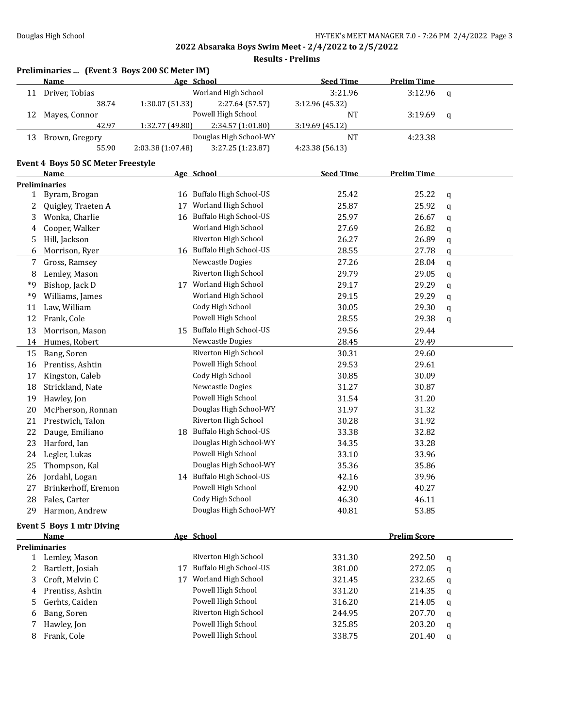|              | Preliminaries  (Event 3 Boys 200 SC Meter IM) |                   |                               |                  |                     |              |
|--------------|-----------------------------------------------|-------------------|-------------------------------|------------------|---------------------|--------------|
|              | Name                                          |                   | Age School                    | <b>Seed Time</b> | <b>Prelim Time</b>  |              |
| 11           | Driver, Tobias                                |                   | Worland High School           | 3:21.96          | 3:12.96             | $\mathbf q$  |
|              | 38.74                                         | 1:30.07 (51.33)   | 2:27.64 (57.57)               | 3:12.96 (45.32)  |                     |              |
| 12           | Mayes, Connor                                 |                   | Powell High School            | <b>NT</b>        | 3:19.69             | $\mathbf q$  |
|              | 42.97                                         | 1:32.77 (49.80)   | 2:34.57 (1:01.80)             | 3:19.69 (45.12)  |                     |              |
|              | 13 Brown, Gregory                             |                   | Douglas High School-WY        | <b>NT</b>        | 4:23.38             |              |
|              | 55.90                                         | 2:03.38 (1:07.48) | 3:27.25 (1:23.87)             | 4:23.38 (56.13)  |                     |              |
|              | <b>Event 4 Boys 50 SC Meter Freestyle</b>     |                   |                               |                  |                     |              |
|              | <b>Name</b>                                   |                   | Age School                    | <b>Seed Time</b> | <b>Prelim Time</b>  |              |
|              | <b>Preliminaries</b>                          |                   |                               |                  |                     |              |
| $\mathbf{1}$ | Byram, Brogan                                 |                   | 16 Buffalo High School-US     | 25.42            | 25.22               | q            |
| 2            | Quigley, Traeten A                            | 17                | Worland High School           | 25.87            | 25.92               | q            |
| 3            | Wonka, Charlie                                | 16                | <b>Buffalo High School-US</b> | 25.97            | 26.67               | q            |
| 4            | Cooper, Walker                                |                   | Worland High School           | 27.69            | 26.82               | q            |
| 5            | Hill, Jackson                                 |                   | Riverton High School          | 26.27            | 26.89               | q            |
| 6            | Morrison, Ryer                                |                   | 16 Buffalo High School-US     | 28.55            | 27.78               | q            |
| 7            | Gross, Ramsey                                 |                   | Newcastle Dogies              | 27.26            | 28.04               | $\mathbf{q}$ |
| 8            | Lemley, Mason                                 |                   | Riverton High School          | 29.79            | 29.05               | q            |
| *9           | Bishop, Jack D                                |                   | 17 Worland High School        | 29.17            | 29.29               | q            |
| *9           | Williams, James                               |                   | Worland High School           | 29.15            | 29.29               | q            |
| 11           | Law, William                                  |                   | Cody High School              | 30.05            | 29.30               | q            |
| 12           | Frank, Cole                                   |                   | Powell High School            | 28.55            | 29.38               | q            |
| 13           | Morrison, Mason                               |                   | 15 Buffalo High School-US     | 29.56            | 29.44               |              |
| 14           | Humes, Robert                                 |                   | Newcastle Dogies              | 28.45            | 29.49               |              |
| 15           | Bang, Soren                                   |                   | Riverton High School          | 30.31            | 29.60               |              |
| 16           | Prentiss, Ashtin                              |                   | Powell High School            | 29.53            | 29.61               |              |
| 17           | Kingston, Caleb                               |                   | Cody High School              | 30.85            | 30.09               |              |
| 18           | Strickland, Nate                              |                   | Newcastle Dogies              | 31.27            | 30.87               |              |
| 19           | Hawley, Jon                                   |                   | Powell High School            | 31.54            | 31.20               |              |
| 20           | McPherson, Ronnan                             |                   | Douglas High School-WY        | 31.97            | 31.32               |              |
| 21           | Prestwich, Talon                              |                   | Riverton High School          | 30.28            | 31.92               |              |
| 22           | Dauge, Emiliano                               |                   | 18 Buffalo High School-US     | 33.38            | 32.82               |              |
| 23           | Harford, Ian                                  |                   | Douglas High School-WY        | 34.35            | 33.28               |              |
| 24           | Legler, Lukas                                 |                   | Powell High School            | 33.10            | 33.96               |              |
| 25           | Thompson, Kal                                 |                   | Douglas High School-WY        | 35.36            | 35.86               |              |
|              | 26 Jordahl, Logan                             |                   | 14 Buffalo High School-US     | 42.16            | 39.96               |              |
| 27           | Brinkerhoff, Eremon                           |                   | Powell High School            | 42.90            | 40.27               |              |
| 28           | Fales, Carter                                 |                   | Cody High School              | 46.30            | 46.11               |              |
| 29           | Harmon, Andrew                                |                   | Douglas High School-WY        | 40.81            | 53.85               |              |
|              |                                               |                   |                               |                  |                     |              |
|              | Event 5 Boys 1 mtr Diving                     |                   |                               |                  |                     |              |
|              | Name<br><b>Preliminaries</b>                  |                   | Age School                    |                  | <b>Prelim Score</b> |              |
|              | Lemley, Mason                                 |                   | Riverton High School          | 331.30           | 292.50              |              |
| $\mathbf{1}$ |                                               | 17                | <b>Buffalo High School-US</b> | 381.00           |                     | q            |
| 2<br>3       | Bartlett, Josiah<br>Croft, Melvin C           |                   | 17 Worland High School        |                  | 272.05<br>232.65    | q            |
|              |                                               |                   | Powell High School            | 321.45           |                     | q            |
| 4            | Prentiss, Ashtin                              |                   | Powell High School            | 331.20           | 214.35              | q            |
| 5            | Gerhts, Caiden                                |                   | Riverton High School          | 316.20           | 214.05              | q            |
| 6            | Bang, Soren                                   |                   |                               | 244.95           | 207.70              | q            |
| 7            | Hawley, Jon                                   |                   | Powell High School            | 325.85           | 203.20              | q            |
| 8            | Frank, Cole                                   |                   | Powell High School            | 338.75           | 201.40              | q            |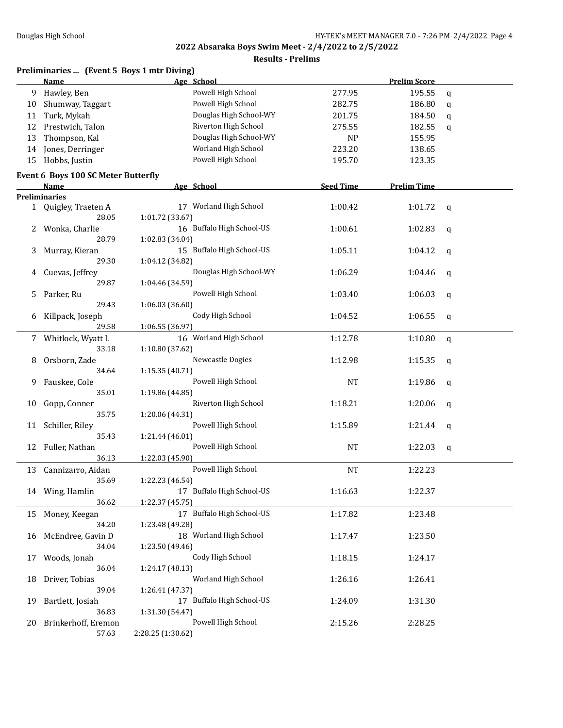|    | Preliminaries  (Event 5 Boys 1 mtr Diving) |                           |                  |                     |   |
|----|--------------------------------------------|---------------------------|------------------|---------------------|---|
|    | Name                                       | Age School                |                  | <b>Prelim Score</b> |   |
| 9  | Hawley, Ben                                | Powell High School        | 277.95           | 195.55              | q |
| 10 | Shumway, Taggart                           | Powell High School        | 282.75           | 186.80              | q |
| 11 | Turk, Mykah                                | Douglas High School-WY    | 201.75           | 184.50              | q |
| 12 | Prestwich, Talon                           | Riverton High School      | 275.55           | 182.55              | q |
| 13 | Thompson, Kal                              | Douglas High School-WY    | <b>NP</b>        | 155.95              |   |
| 14 | Jones, Derringer                           | Worland High School       | 223.20           | 138.65              |   |
| 15 | Hobbs, Justin                              | Powell High School        | 195.70           | 123.35              |   |
|    | Event 6 Boys 100 SC Meter Butterfly        |                           |                  |                     |   |
|    | Name                                       | Age School                | <b>Seed Time</b> | <b>Prelim Time</b>  |   |
|    | <b>Preliminaries</b>                       |                           |                  |                     |   |
|    | 1 Quigley, Traeten A                       | 17 Worland High School    | 1:00.42          | 1:01.72             | q |
|    | 28.05                                      | 1:01.72 (33.67)           |                  |                     |   |
| 2  | Wonka, Charlie                             | 16 Buffalo High School-US | 1:00.61          | 1:02.83             | q |
|    | 28.79                                      | 1:02.83 (34.04)           |                  |                     |   |
| 3  | Murray, Kieran                             | 15 Buffalo High School-US | 1:05.11          | 1:04.12             | q |
|    | 29.30                                      | 1:04.12 (34.82)           |                  |                     |   |
| 4  | Cuevas, Jeffrey                            | Douglas High School-WY    | 1:06.29          | 1:04.46             | q |
|    | 29.87                                      | 1:04.46 (34.59)           |                  |                     |   |
| 5  | Parker, Ru                                 | Powell High School        | 1:03.40          | 1:06.03             | q |
|    | 29.43                                      | 1:06.03 (36.60)           |                  |                     |   |
| 6  | Killpack, Joseph                           | Cody High School          | 1:04.52          | 1:06.55             | q |
|    | 29.58                                      | 1:06.55 (36.97)           |                  |                     |   |
| 7  | Whitlock, Wyatt L                          | 16 Worland High School    | 1:12.78          | 1:10.80             | q |
|    | 33.18                                      | 1:10.80 (37.62)           |                  |                     |   |
| 8  | Orsborn, Zade                              | Newcastle Dogies          | 1:12.98          | 1:15.35             | q |
|    | 34.64                                      | 1:15.35 (40.71)           |                  |                     |   |
| 9  | Fauskee, Cole                              | Powell High School        | NT               | 1:19.86             | q |
|    | 35.01                                      | 1:19.86 (44.85)           |                  |                     |   |
| 10 | Gopp, Conner                               | Riverton High School      | 1:18.21          | 1:20.06             | q |
|    | 35.75                                      | 1:20.06 (44.31)           |                  |                     |   |
| 11 | Schiller, Riley                            | Powell High School        | 1:15.89          | 1:21.44             | q |
|    | 35.43                                      | 1:21.44 (46.01)           |                  |                     |   |
| 12 | Fuller, Nathan                             | Powell High School        | <b>NT</b>        | 1:22.03             | q |
|    | 36.13                                      | 1:22.03 (45.90)           |                  |                     |   |
|    | 13 Cannizarro, Aidan                       | Powell High School        | <b>NT</b>        | 1:22.23             |   |
|    | 35.69                                      | 1:22.23 (46.54)           |                  |                     |   |
|    | 14 Wing, Hamlin                            | 17 Buffalo High School-US | 1:16.63          | 1:22.37             |   |
|    | 36.62                                      | 1:22.37 (45.75)           |                  |                     |   |
| 15 | Money, Keegan                              | 17 Buffalo High School-US | 1:17.82          | 1:23.48             |   |
|    | 34.20                                      | 1:23.48 (49.28)           |                  |                     |   |
| 16 | McEndree, Gavin D                          | 18 Worland High School    | 1:17.47          | 1:23.50             |   |
|    | 34.04                                      | 1:23.50 (49.46)           |                  |                     |   |
| 17 | Woods, Jonah                               | Cody High School          | 1:18.15          | 1:24.17             |   |
|    | 36.04                                      | 1:24.17 (48.13)           |                  |                     |   |
| 18 | Driver, Tobias                             | Worland High School       | 1:26.16          | 1:26.41             |   |
|    | 39.04                                      | 1:26.41 (47.37)           |                  |                     |   |
| 19 | Bartlett, Josiah                           | 17 Buffalo High School-US | 1:24.09          | 1:31.30             |   |
|    | 36.83                                      | 1:31.30 (54.47)           |                  |                     |   |
| 20 | Brinkerhoff, Eremon                        | Powell High School        | 2:15.26          | 2:28.25             |   |
|    | 57.63                                      | 2:28.25 (1:30.62)         |                  |                     |   |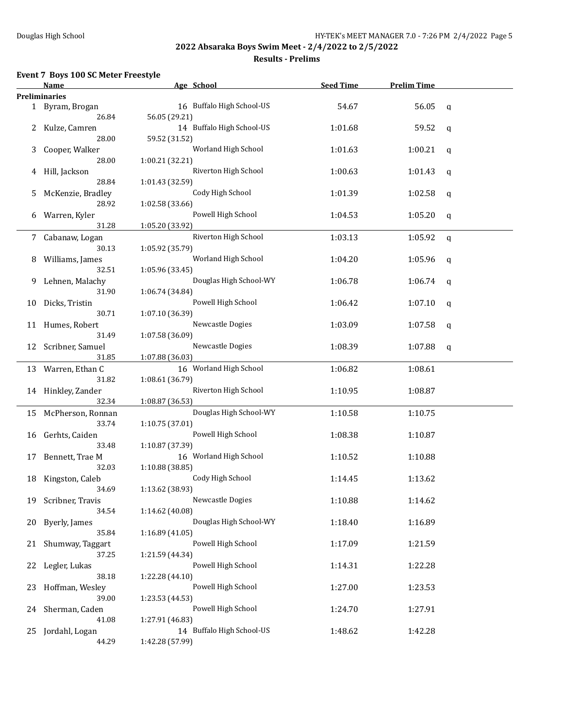#### **Results - Prelims**

#### **Event 7 Boys 100 SC Meter Freestyle**

|     | Name                 | Age School                | <b>Seed Time</b> | <b>Prelim Time</b> |   |
|-----|----------------------|---------------------------|------------------|--------------------|---|
|     | <b>Preliminaries</b> |                           |                  |                    |   |
|     | 1 Byram, Brogan      | 16 Buffalo High School-US | 54.67            | 56.05              | q |
|     | 26.84                | 56.05 (29.21)             |                  |                    |   |
|     | 2 Kulze, Camren      | 14 Buffalo High School-US | 1:01.68          | 59.52              | q |
|     | 28.00                | 59.52 (31.52)             |                  |                    |   |
| 3   | Cooper, Walker       | Worland High School       | 1:01.63          | 1:00.21            | q |
|     | 28.00                | 1:00.21 (32.21)           |                  |                    |   |
| 4   | Hill, Jackson        | Riverton High School      | 1:00.63          | 1:01.43            | q |
|     | 28.84                | 1:01.43 (32.59)           |                  |                    |   |
| 5   | McKenzie, Bradley    | Cody High School          | 1:01.39          | 1:02.58            | q |
|     | 28.92                | 1:02.58 (33.66)           |                  |                    |   |
| 6   | Warren, Kyler        | Powell High School        | 1:04.53          | 1:05.20            | q |
|     | 31.28                | 1:05.20 (33.92)           |                  |                    |   |
|     | 7 Cabanaw, Logan     | Riverton High School      | 1:03.13          | 1:05.92            | q |
|     | 30.13                | 1:05.92 (35.79)           |                  |                    |   |
| 8   | Williams, James      | Worland High School       | 1:04.20          | 1:05.96            | q |
|     | 32.51                | 1:05.96 (33.45)           |                  |                    |   |
| 9   | Lehnen, Malachy      | Douglas High School-WY    | 1:06.78          | 1:06.74            | q |
|     | 31.90                | 1:06.74 (34.84)           |                  |                    |   |
| 10  | Dicks, Tristin       | Powell High School        | 1:06.42          | 1:07.10            | q |
|     | 30.71                | 1:07.10 (36.39)           |                  |                    |   |
|     | 11 Humes, Robert     | Newcastle Dogies          | 1:03.09          | 1:07.58            | q |
|     | 31.49                | 1:07.58 (36.09)           |                  |                    |   |
|     | 12 Scribner, Samuel  | Newcastle Dogies          | 1:08.39          | 1:07.88            | q |
|     | 31.85                | 1:07.88 (36.03)           |                  |                    |   |
|     | 13 Warren, Ethan C   | 16 Worland High School    | 1:06.82          | 1:08.61            |   |
|     | 31.82                | 1:08.61 (36.79)           |                  |                    |   |
|     | 14 Hinkley, Zander   | Riverton High School      | 1:10.95          | 1:08.87            |   |
|     | 32.34                | 1:08.87 (36.53)           |                  |                    |   |
|     | 15 McPherson, Ronnan | Douglas High School-WY    | 1:10.58          | 1:10.75            |   |
|     | 33.74                | 1:10.75 (37.01)           |                  |                    |   |
| 16  | Gerhts, Caiden       | Powell High School        | 1:08.38          | 1:10.87            |   |
|     | 33.48                | 1:10.87 (37.39)           |                  |                    |   |
| 17  | Bennett, Trae M      | 16 Worland High School    | 1:10.52          | 1:10.88            |   |
|     | 32.03                | 1:10.88 (38.85)           |                  |                    |   |
| 18  | Kingston, Caleb      | Cody High School          | 1:14.45          | 1:13.62            |   |
|     | 34.69                | 1:13.62 (38.93)           |                  |                    |   |
| 19  | Scribner, Travis     | Newcastle Dogies          | 1:10.88          | 1:14.62            |   |
|     | 34.54                | 1:14.62 (40.08)           |                  |                    |   |
| 20  | Byerly, James        | Douglas High School-WY    | 1:18.40          | 1:16.89            |   |
|     | 35.84                | 1:16.89 (41.05)           |                  |                    |   |
| 21  | Shumway, Taggart     | Powell High School        | 1:17.09          | 1:21.59            |   |
|     | 37.25                | 1:21.59 (44.34)           |                  |                    |   |
| 22  | Legler, Lukas        | Powell High School        | 1:14.31          | 1:22.28            |   |
|     | 38.18                | 1:22.28 (44.10)           |                  |                    |   |
| 23. | Hoffman, Wesley      | Powell High School        | 1:27.00          | 1:23.53            |   |
|     | 39.00                | 1:23.53 (44.53)           |                  |                    |   |
| 24  | Sherman, Caden       | Powell High School        | 1:24.70          | 1:27.91            |   |
|     | 41.08                | 1:27.91 (46.83)           |                  |                    |   |
| 25  | Jordahl, Logan       | 14 Buffalo High School-US | 1:48.62          | 1:42.28            |   |
|     | 44.29                | 1:42.28 (57.99)           |                  |                    |   |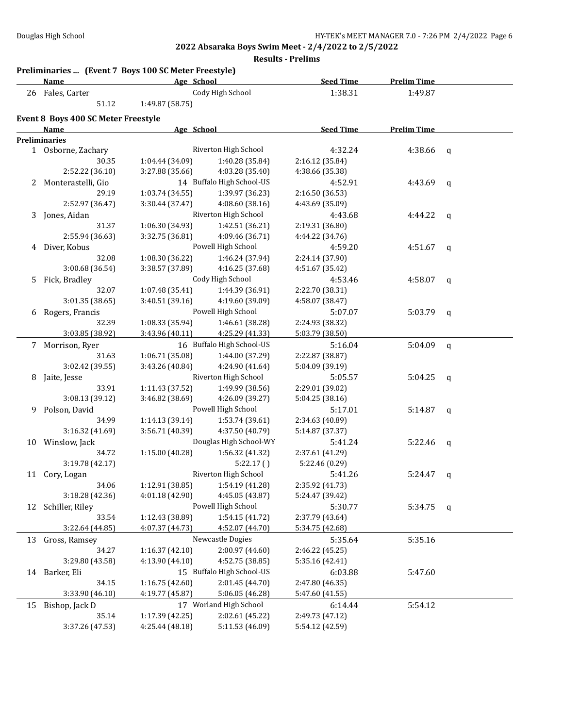|    | Preliminaries  (Event 7 Boys 100 SC Meter Freestyle)<br>Name | Age School      |                                       | <b>Seed Time</b> | <b>Prelim Time</b> |              |
|----|--------------------------------------------------------------|-----------------|---------------------------------------|------------------|--------------------|--------------|
|    | 26 Fales, Carter                                             |                 | Cody High School                      | 1:38.31          | 1:49.87            |              |
|    | 51.12                                                        | 1:49.87 (58.75) |                                       |                  |                    |              |
|    | Event 8 Boys 400 SC Meter Freestyle                          |                 |                                       |                  |                    |              |
|    | <b>Name</b>                                                  | Age School      |                                       | <b>Seed Time</b> | <b>Prelim Time</b> |              |
|    | <b>Preliminaries</b>                                         |                 |                                       |                  |                    |              |
|    | 1 Osborne, Zachary                                           |                 | Riverton High School                  | 4:32.24          | 4:38.66            | q            |
|    | 30.35                                                        | 1:04.44 (34.09) | 1:40.28 (35.84)                       | 2:16.12 (35.84)  |                    |              |
|    | 2:52.22 (36.10)                                              | 3:27.88 (35.66) | 4:03.28 (35.40)                       | 4:38.66 (35.38)  |                    |              |
| 2  | Monterastelli, Gio                                           |                 | 14 Buffalo High School-US             | 4:52.91          | 4:43.69            | q            |
|    | 29.19                                                        | 1:03.74 (34.55) | 1:39.97 (36.23)                       | 2:16.50 (36.53)  |                    |              |
|    | 2:52.97 (36.47)                                              | 3:30.44 (37.47) | 4:08.60 (38.16)                       | 4:43.69 (35.09)  |                    |              |
| 3  | Jones, Aidan                                                 |                 | Riverton High School                  | 4:43.68          | 4:44.22            | q            |
|    | 31.37                                                        | 1:06.30 (34.93) | 1:42.51 (36.21)                       | 2:19.31 (36.80)  |                    |              |
|    | 2:55.94 (36.63)                                              | 3:32.75 (36.81) | 4:09.46 (36.71)                       | 4:44.22 (34.76)  |                    |              |
|    | 4 Diver, Kobus                                               |                 | Powell High School                    | 4:59.20          | 4:51.67            | q            |
|    | 32.08                                                        | 1:08.30 (36.22) | 1:46.24 (37.94)                       | 2:24.14 (37.90)  |                    |              |
|    | 3:00.68 (36.54)                                              | 3:38.57 (37.89) | 4:16.25 (37.68)                       | 4:51.67 (35.42)  |                    |              |
|    | Fick, Bradley                                                |                 | Cody High School                      | 4:53.46          |                    |              |
| 5. |                                                              |                 |                                       | 2:22.70 (38.31)  | 4:58.07            | q            |
|    | 32.07<br>3:01.35 (38.65)                                     | 1:07.48 (35.41) | 1:44.39 (36.91)                       |                  |                    |              |
|    |                                                              | 3:40.51 (39.16) | 4:19.60 (39.09)<br>Powell High School | 4:58.07 (38.47)  |                    |              |
| 6  | Rogers, Francis                                              |                 |                                       | 5:07.07          | 5:03.79            | $\mathbf{q}$ |
|    | 32.39                                                        | 1:08.33 (35.94) | 1:46.61 (38.28)                       | 2:24.93 (38.32)  |                    |              |
|    | 3:03.85 (38.92)                                              | 3:43.96 (40.11) | 4:25.29 (41.33)                       | 5:03.79 (38.50)  |                    |              |
|    | 7 Morrison, Ryer                                             |                 | 16 Buffalo High School-US             | 5:16.04          | 5:04.09            | $\mathbf{q}$ |
|    | 31.63                                                        | 1:06.71 (35.08) | 1:44.00 (37.29)                       | 2:22.87 (38.87)  |                    |              |
|    | 3:02.42 (39.55)                                              | 3:43.26 (40.84) | 4:24.90 (41.64)                       | 5:04.09 (39.19)  |                    |              |
| 8  | Jaite, Jesse                                                 |                 | Riverton High School                  | 5:05.57          | 5:04.25            | q            |
|    | 33.91                                                        | 1:11.43 (37.52) | 1:49.99 (38.56)                       | 2:29.01 (39.02)  |                    |              |
|    | 3:08.13 (39.12)                                              | 3:46.82 (38.69) | 4:26.09 (39.27)                       | 5:04.25 (38.16)  |                    |              |
| 9  | Polson, David                                                |                 | Powell High School                    | 5:17.01          | 5:14.87            | q            |
|    | 34.99                                                        | 1:14.13 (39.14) | 1:53.74 (39.61)                       | 2:34.63 (40.89)  |                    |              |
|    | 3:16.32 (41.69)                                              | 3:56.71 (40.39) | 4:37.50 (40.79)                       | 5:14.87 (37.37)  |                    |              |
|    | 10 Winslow, Jack                                             |                 | Douglas High School-WY                | 5:41.24          | 5:22.46            | q            |
|    | 34.72                                                        | 1:15.00(40.28)  | 1:56.32 (41.32)                       | 2:37.61 (41.29)  |                    |              |
|    | 3:19.78 (42.17)                                              |                 | 5:22.17()                             | 5:22.46 (0.29)   |                    |              |
|    | 11 Cory, Logan                                               |                 | Riverton High School                  | 5:41.26          | 5:24.47            | q            |
|    | 34.06                                                        | 1:12.91 (38.85) | 1:54.19 (41.28)                       | 2:35.92 (41.73)  |                    |              |
|    | 3:18.28 (42.36)                                              | 4:01.18 (42.90) | 4:45.05 (43.87)                       | 5:24.47 (39.42)  |                    |              |
| 12 | Schiller, Riley                                              |                 | Powell High School                    | 5:30.77          | $5:34.75$ q        |              |
|    | 33.54                                                        | 1:12.43 (38.89) | 1:54.15 (41.72)                       | 2:37.79 (43.64)  |                    |              |
|    | 3:22.64 (44.85)                                              | 4:07.37 (44.73) | 4:52.07 (44.70)                       | 5:34.75 (42.68)  |                    |              |
|    | 13 Gross, Ramsey                                             |                 | Newcastle Dogies                      | 5:35.64          | 5:35.16            |              |
|    | 34.27                                                        | 1:16.37(42.10)  | 2:00.97 (44.60)                       | 2:46.22 (45.25)  |                    |              |
|    | 3:29.80 (43.58)                                              | 4:13.90 (44.10) | 4:52.75 (38.85)                       | 5:35.16 (42.41)  |                    |              |
|    | 14 Barker, Eli                                               |                 | 15 Buffalo High School-US             | 6:03.88          | 5:47.60            |              |
|    | 34.15                                                        | 1:16.75 (42.60) | 2:01.45 (44.70)                       | 2:47.80 (46.35)  |                    |              |
|    | 3:33.90 (46.10)                                              | 4:19.77 (45.87) | 5:06.05 (46.28)                       | 5:47.60 (41.55)  |                    |              |
| 15 | Bishop, Jack D                                               |                 | 17 Worland High School                | 6:14.44          | 5:54.12            |              |
|    | 35.14                                                        | 1:17.39 (42.25) | 2:02.61 (45.22)                       | 2:49.73 (47.12)  |                    |              |
|    | 3:37.26 (47.53)                                              | 4:25.44 (48.18) | 5:11.53 (46.09)                       | 5:54.12 (42.59)  |                    |              |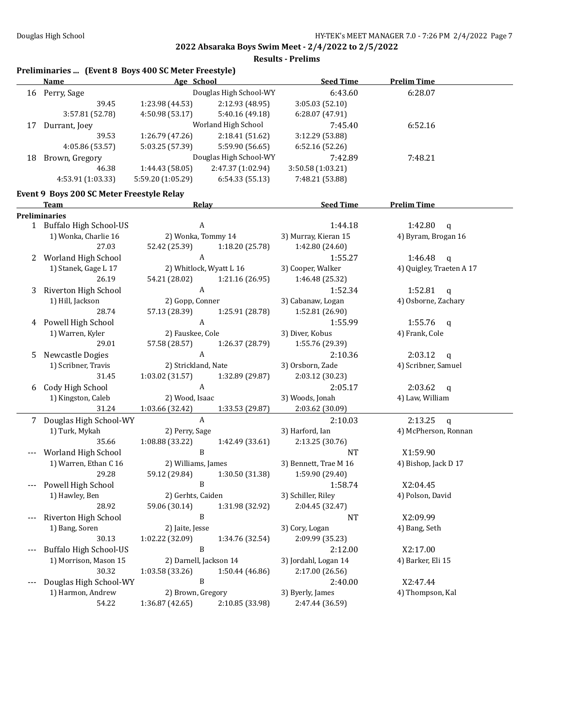|     | Preliminaries  (Event 8 Boys 400 SC Meter Freestyle)<br><b>Name</b> | Age School                                    |                        | <b>Seed Time</b>            | <b>Prelim Time</b>           |
|-----|---------------------------------------------------------------------|-----------------------------------------------|------------------------|-----------------------------|------------------------------|
|     | 16 Perry, Sage                                                      |                                               | Douglas High School-WY | 6:43.60                     | 6:28.07                      |
|     | 39.45                                                               | 1:23.98 (44.53)                               | 2:12.93 (48.95)        | 3:05.03 (52.10)             |                              |
|     | 3:57.81 (52.78)                                                     | 4:50.98 (53.17)                               | 5:40.16 (49.18)        | 6:28.07 (47.91)             |                              |
|     | 17 Durrant, Joey                                                    |                                               | Worland High School    | 7:45.40                     | 6:52.16                      |
|     | 39.53                                                               | 1:26.79 (47.26)                               | 2:18.41 (51.62)        | 3:12.29 (53.88)             |                              |
|     | 4:05.86 (53.57)                                                     | 5:03.25 (57.39)                               | 5:59.90 (56.65)        | 6:52.16 (52.26)             |                              |
|     | 18 Brown, Gregory                                                   |                                               | Douglas High School-WY | 7:42.89                     | 7:48.21                      |
|     | 46.38                                                               | 1:44.43 (58.05)                               | 2:47.37 (1:02.94)      | 3:50.58 (1:03.21)           |                              |
|     | 4:53.91 (1:03.33)                                                   | 5:59.20 (1:05.29)                             | 6:54.33(55.13)         | 7:48.21 (53.88)             |                              |
|     |                                                                     |                                               |                        |                             |                              |
|     | Event 9 Boys 200 SC Meter Freestyle Relay<br>Team                   | Relay                                         |                        | <b>Seed Time</b>            | <b>Prelim Time</b>           |
|     | Preliminaries                                                       |                                               |                        |                             |                              |
|     | 1 Buffalo High School-US                                            | A                                             |                        | 1:44.18                     | 1:42.80<br>$\mathbf{q}$      |
|     | 1) Wonka, Charlie 16                                                | 2) Wonka, Tommy 14                            |                        | 3) Murray, Kieran 15        | 4) Byram, Brogan 16          |
|     | 27.03                                                               | 52.42 (25.39)                                 | 1:18.20 (25.78)        | 1:42.80 (24.60)             |                              |
| 2   | Worland High School                                                 | A                                             |                        | 1:55.27                     | 1:46.48<br>$\mathbf{q}$      |
|     | 1) Stanek, Gage L 17                                                | 2) Whitlock, Wyatt L 16                       |                        | 3) Cooper, Walker           | 4) Quigley, Traeten A 17     |
|     | 26.19                                                               | 54.21 (28.02)                                 | 1:21.16 (26.95)        | 1:46.48 (25.32)             |                              |
| 3   | Riverton High School                                                | A                                             |                        | 1:52.34                     | 1:52.81 $q$                  |
|     | 1) Hill, Jackson                                                    | 2) Gopp, Conner                               |                        | 3) Cabanaw, Logan           | 4) Osborne, Zachary          |
|     | 28.74                                                               | 57.13 (28.39)                                 | 1:25.91 (28.78)        | 1:52.81 (26.90)             |                              |
| 4   | Powell High School                                                  | A                                             |                        | 1:55.99                     | 1:55.76 $q$                  |
|     | 1) Warren, Kyler                                                    | 2) Fauskee, Cole                              |                        | 3) Diver, Kobus             | 4) Frank, Cole               |
|     | 29.01                                                               | 57.58 (28.57)                                 | 1:26.37 (28.79)        | 1:55.76 (29.39)             |                              |
| 5   | Newcastle Dogies                                                    | A                                             |                        | 2:10.36                     | 2:03.12<br>$\mathbf{q}$      |
|     | 1) Scribner, Travis                                                 | 2) Strickland, Nate                           |                        | 3) Orsborn, Zade            | 4) Scribner, Samuel          |
|     | 31.45                                                               | 1:03.02 (31.57)                               | 1:32.89 (29.87)        | 2:03.12 (30.23)             |                              |
| 6   | Cody High School                                                    | A                                             |                        | 2:05.17                     | 2:03.62<br>$\mathbf{q}$      |
|     | 1) Kingston, Caleb                                                  | 2) Wood, Isaac                                |                        | 3) Woods, Jonah             | 4) Law, William              |
|     | 31.24                                                               | 1:03.66 (32.42)                               | 1:33.53 (29.87)        | 2:03.62 (30.09)             |                              |
|     | 7 Douglas High School-WY                                            | $\mathbf{A}$                                  |                        | 2:10.03                     | 2:13.25<br>q                 |
|     | 1) Turk, Mykah                                                      | 2) Perry, Sage                                |                        | 3) Harford, Ian             | 4) McPherson, Ronnan         |
|     | 35.66                                                               | 1:08.88 (33.22)                               | 1:42.49 (33.61)        | 2:13.25 (30.76)             |                              |
|     | Worland High School                                                 | B                                             |                        | <b>NT</b>                   | X1:59.90                     |
|     | 1) Warren, Ethan C 16                                               | 2) Williams, James                            |                        | 3) Bennett, Trae M 16       | 4) Bishop, Jack D 17         |
|     | 29.28                                                               | 59.12 (29.84) 1:30.50 (31.38) 1:59.90 (29.40) |                        |                             |                              |
| --- | Powell High School                                                  | B                                             |                        | 1:58.74                     | X2:04.45                     |
|     | 1) Hawley, Ben                                                      | 2) Gerhts, Caiden                             |                        | 3) Schiller, Riley          | 4) Polson, David             |
|     | 28.92                                                               | 59.06 (30.14)                                 | 1:31.98 (32.92)        | 2:04.45 (32.47)             |                              |
|     | Riverton High School                                                | B                                             |                        | <b>NT</b>                   | X2:09.99                     |
|     | 1) Bang, Soren                                                      | 2) Jaite, Jesse                               |                        | 3) Cory, Logan              | 4) Bang, Seth                |
|     | 30.13                                                               | 1:02.22 (32.09)                               | 1:34.76 (32.54)        | 2:09.99 (35.23)             |                              |
| --- | <b>Buffalo High School-US</b>                                       | B                                             |                        | 2:12.00                     | X2:17.00                     |
|     | 1) Morrison, Mason 15                                               | 2) Darnell, Jackson 14                        |                        | 3) Jordahl, Logan 14        | 4) Barker, Eli 15            |
|     | 30.32                                                               | 1:03.58 (33.26)                               | 1:50.44 (46.86)        | 2:17.00 (26.56)             |                              |
|     |                                                                     |                                               |                        |                             |                              |
| --- |                                                                     | B                                             |                        |                             |                              |
|     | Douglas High School-WY<br>1) Harmon, Andrew                         | 2) Brown, Gregory                             |                        | 2:40.00<br>3) Byerly, James | X2:47.44<br>4) Thompson, Kal |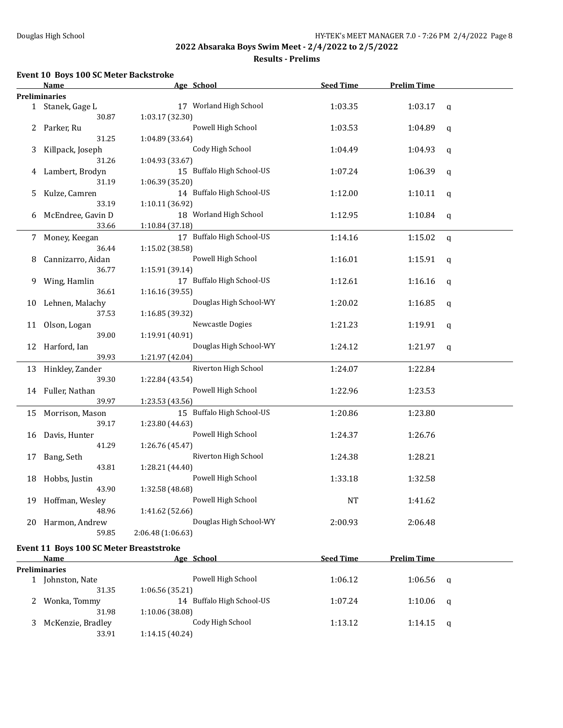### **Results - Prelims**

#### **Event 10 Boys 100 SC Meter Backstroke**

|    | <u>Name</u>                                     | Age School                                                     | <b>Seed Time</b> | <b>Prelim Time</b> |              |
|----|-------------------------------------------------|----------------------------------------------------------------|------------------|--------------------|--------------|
|    | <b>Preliminaries</b>                            |                                                                |                  |                    |              |
|    | 1 Stanek, Gage L<br>30.87                       | 17 Worland High School<br>1:03.17 (32.30)                      | 1:03.35          | 1:03.17            | $\mathbf{q}$ |
|    | 2 Parker, Ru<br>31.25                           | Powell High School<br>1:04.89 (33.64)                          | 1:03.53          | 1:04.89            | q            |
| 3  | Killpack, Joseph                                | Cody High School                                               | 1:04.49          | 1:04.93            | q            |
| 4  | 31.26<br>Lambert, Brodyn                        | 1:04.93 (33.67)<br>15 Buffalo High School-US                   | 1:07.24          | 1:06.39            | q            |
| 5  | 31.19<br>Kulze, Camren                          | 1:06.39 (35.20)<br>14 Buffalo High School-US                   | 1:12.00          | 1:10.11            | q            |
| 6  | 33.19<br>McEndree, Gavin D                      | 1:10.11 (36.92)<br>18 Worland High School                      | 1:12.95          | 1:10.84            | q            |
|    | 33.66                                           | 1:10.84 (37.18)                                                |                  |                    |              |
|    | 7 Money, Keegan<br>36.44                        | 17 Buffalo High School-US<br>1:15.02 (38.58)                   | 1:14.16          | 1:15.02            | q            |
| 8  | Cannizarro, Aidan<br>36.77                      | Powell High School<br>1:15.91 (39.14)                          | 1:16.01          | 1:15.91            | q            |
| 9. | Wing, Hamlin<br>36.61                           | 17 Buffalo High School-US<br>1:16.16 (39.55)                   | 1:12.61          | 1:16.16            | q            |
| 10 | Lehnen, Malachy<br>37.53                        | Douglas High School-WY<br>1:16.85 (39.32)                      | 1:20.02          | 1:16.85            | q            |
| 11 | Olson, Logan                                    | Newcastle Dogies                                               | 1:21.23          | 1:19.91            | q            |
|    | 39.00<br>12 Harford, Ian<br>39.93               | 1:19.91 (40.91)<br>Douglas High School-WY                      | 1:24.12          | 1:21.97            | q            |
|    |                                                 | 1:21.97 (42.04)                                                |                  |                    |              |
|    | 13 Hinkley, Zander<br>39.30                     | Riverton High School<br>1:22.84 (43.54)                        | 1:24.07          | 1:22.84            |              |
|    | 14 Fuller, Nathan<br>39.97                      | Powell High School<br>1:23.53 (43.56)                          | 1:22.96          | 1:23.53            |              |
|    | 15 Morrison, Mason<br>39.17                     | 15 Buffalo High School-US                                      | 1:20.86          | 1:23.80            |              |
| 16 | Davis, Hunter                                   | 1:23.80 (44.63)<br>Powell High School                          | 1:24.37          | 1:26.76            |              |
| 17 | 41.29<br>Bang, Seth                             | 1:26.76 (45.47)<br>Riverton High School                        | 1:24.38          | 1:28.21            |              |
|    | 43.81<br>18 Hobbs, Justin                       | 1:28.21 (44.40)<br>Powell High School                          | 1:33.18          | 1:32.58            |              |
|    | 43.90<br>19 Hoffman, Wesley                     | 1:32.58 (48.68)<br>Powell High School                          | <b>NT</b>        | 1:41.62            |              |
|    | 48.96<br>20 Harmon, Andrew<br>59.85             | 1:41.62 (52.66)<br>Douglas High School-WY<br>2:06.48 (1:06.63) | 2:00.93          | 2:06.48            |              |
|    |                                                 |                                                                |                  |                    |              |
|    | Event 11 Boys 100 SC Meter Breaststroke<br>Name | Age School                                                     | <b>Seed Time</b> | <b>Prelim Time</b> |              |
|    | Preliminaries                                   |                                                                |                  |                    |              |
|    | 1 Johnston, Nate<br>31.35                       | Powell High School                                             | 1:06.12          | 1:06.56            | q            |
| 2  | Wonka, Tommy                                    | 1:06.56 (35.21)<br>14 Buffalo High School-US                   | 1:07.24          | 1:10.06            | q            |
| 3  | 31.98<br>McKenzie, Bradley<br>33.91             | 1:10.06 (38.08)<br>Cody High School<br>1:14.15 (40.24)         | 1:13.12          | 1:14.15            | q            |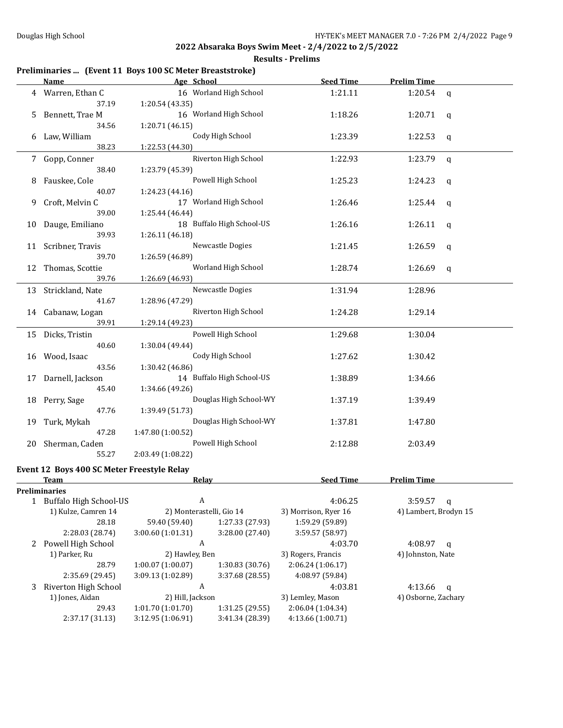### **Results - Prelims**

# **Preliminaries ... (Event 11 Boys 100 SC Meter Breaststroke)**

|    | <b>Name</b>                                | Age School                             | <b>Seed Time</b><br><b>Prelim Time</b> |                       |             |
|----|--------------------------------------------|----------------------------------------|----------------------------------------|-----------------------|-------------|
| 4  | Warren, Ethan C                            | 16 Worland High School                 | 1:21.11                                | 1:20.54               | q           |
|    | 37.19                                      | 1:20.54 (43.35)                        |                                        |                       |             |
| 5  | Bennett, Trae M                            | 16 Worland High School                 | 1:18.26                                | 1:20.71               | q           |
|    | 34.56                                      | 1:20.71 (46.15)                        |                                        |                       |             |
| 6  | Law, William                               | Cody High School                       | 1:23.39                                | 1:22.53               | q           |
|    | 38.23                                      | 1:22.53 (44.30)                        |                                        |                       |             |
| 7  | Gopp, Conner                               | Riverton High School                   | 1:22.93                                | 1:23.79               | q           |
|    | 38.40                                      | 1:23.79 (45.39)                        |                                        |                       |             |
| 8  | Fauskee, Cole                              | Powell High School                     | 1:25.23                                | 1:24.23               | q           |
|    | 40.07                                      | 1:24.23 (44.16)                        |                                        |                       |             |
| 9  | Croft, Melvin C                            | 17 Worland High School                 | 1:26.46                                | 1:25.44               | q           |
|    | 39.00                                      | 1:25.44 (46.44)                        |                                        |                       |             |
| 10 | Dauge, Emiliano                            | 18 Buffalo High School-US              | 1:26.16                                | 1:26.11               | q           |
|    | 39.93                                      | 1:26.11 (46.18)                        |                                        |                       |             |
| 11 | Scribner, Travis                           | Newcastle Dogies                       | 1:21.45                                | 1:26.59               | q           |
|    | 39.70                                      | 1:26.59 (46.89)                        |                                        |                       |             |
|    | 12 Thomas, Scottie                         | Worland High School                    | 1:28.74                                | 1:26.69               | q           |
|    | 39.76                                      | 1:26.69 (46.93)                        |                                        |                       |             |
|    | 13 Strickland, Nate                        | Newcastle Dogies                       | 1:31.94                                | 1:28.96               |             |
|    | 41.67                                      | 1:28.96 (47.29)                        |                                        |                       |             |
| 14 | Cabanaw, Logan                             | Riverton High School                   | 1:24.28                                | 1:29.14               |             |
|    | 39.91                                      | 1:29.14 (49.23)                        |                                        |                       |             |
|    | 15 Dicks, Tristin                          | Powell High School                     | 1:29.68                                | 1:30.04               |             |
|    | 40.60                                      | 1:30.04 (49.44)                        |                                        |                       |             |
| 16 | Wood, Isaac                                | Cody High School                       | 1:27.62                                | 1:30.42               |             |
|    | 43.56                                      | 1:30.42 (46.86)                        |                                        |                       |             |
| 17 | Darnell, Jackson                           | 14 Buffalo High School-US              | 1:38.89                                | 1:34.66               |             |
|    | 45.40                                      | 1:34.66 (49.26)                        |                                        |                       |             |
| 18 | Perry, Sage                                | Douglas High School-WY                 | 1:37.19                                | 1:39.49               |             |
|    | 47.76                                      | 1:39.49 (51.73)                        |                                        |                       |             |
| 19 | Turk, Mykah                                | Douglas High School-WY                 | 1:37.81                                | 1:47.80               |             |
|    | 47.28                                      | 1:47.80 (1:00.52)                      |                                        |                       |             |
| 20 | Sherman, Caden                             | Powell High School                     | 2:12.88                                | 2:03.49               |             |
|    | 55.27                                      | 2:03.49 (1:08.22)                      |                                        |                       |             |
|    | Event 12 Boys 400 SC Meter Freestyle Relay |                                        |                                        |                       |             |
|    | <u>Team</u>                                | <b>Relay</b>                           | <b>Seed Time</b>                       | <b>Prelim Time</b>    |             |
|    | Preliminaries                              |                                        |                                        |                       |             |
|    | 1 Buffalo High School-US                   | A                                      | 4:06.25                                | 3:59.57               | q           |
|    | 1) Kulze, Camren 14                        | 2) Monterastelli, Gio 14               | 3) Morrison, Ryer 16                   | 4) Lambert, Brodyn 15 |             |
|    | 28.18                                      | 59.40 (59.40)<br>1:27.33 (27.93)       | 1:59.29 (59.89)                        |                       |             |
|    | 2:28.03 (28.74)                            | 3:00.60 (1:01.31)<br>3:28.00 (27.40)   | 3:59.57 (58.97)                        |                       |             |
|    | 2 Powell High School                       | A                                      | 4:03.70                                | 4:08.97               | q           |
|    | 1) Parker, Ru                              | 2) Hawley, Ben                         | 3) Rogers, Francis                     | 4) Johnston, Nate     |             |
|    | 28.79                                      | $1:00.07$ (1:00.07)<br>1:30.83 (30.76) | 2:06.24 (1:06.17)                      |                       |             |
|    | 2:35.69 (29.45)                            | 3:09.13 (1:02.89)<br>3:37.68 (28.55)   | 4:08.97 (59.84)                        |                       |             |
| 3  | Riverton High School                       | A                                      | 4:03.81                                | 4:13.66               | $\mathbf q$ |
|    | 1) Jones, Aidan                            | 2) Hill, Jackson                       | 3) Lemley, Mason                       | 4) Osborne, Zachary   |             |
|    | 29.43                                      | 1:01.70 (1:01.70)<br>1:31.25 (29.55)   | 2:06.04 (1:04.34)                      |                       |             |
|    | 2:37.17 (31.13)                            | 3:12.95 (1:06.91)<br>3:41.34 (28.39)   | 4:13.66 (1:00.71)                      |                       |             |